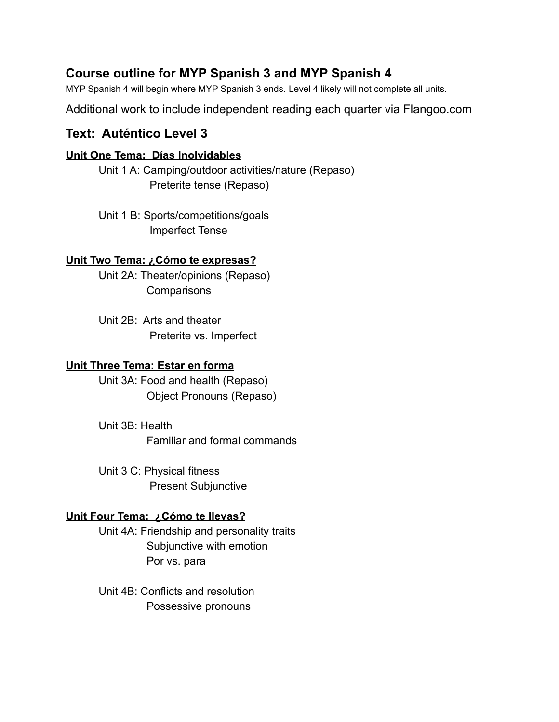# **Course outline for MYP Spanish 3 and MYP Spanish 4**

MYP Spanish 4 will begin where MYP Spanish 3 ends. Level 4 likely will not complete all units.

Additional work to include independent reading each quarter via Flangoo.com

## **Text: Auténtico Level 3**

### **Unit One Tema: Días Inolvidables**

Unit 1 A: Camping/outdoor activities/nature (Repaso) Preterite tense (Repaso)

Unit 1 B: Sports/competitions/goals Imperfect Tense

### **Unit Two Tema: ¿Cómo te expresas?**

Unit 2A: Theater/opinions (Repaso) **Comparisons** 

Unit 2B: Arts and theater Preterite vs. Imperfect

### **Unit Three Tema: Estar en forma**

Unit 3A: Food and health (Repaso) Object Pronouns (Repaso)

Unit 3B: Health Familiar and formal commands

Unit 3 C: Physical fitness Present Subjunctive

### **Unit Four Tema: ¿Cómo te llevas?**

Unit 4A: Friendship and personality traits Subjunctive with emotion Por vs. para

Unit 4B: Conflicts and resolution Possessive pronouns